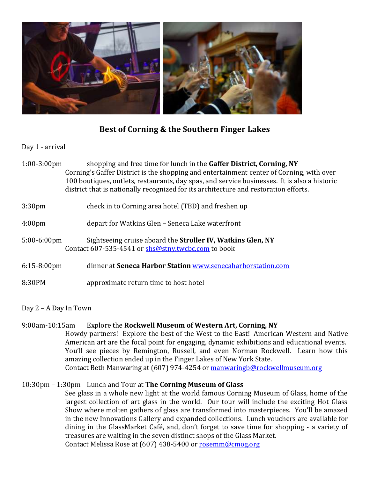

## **Best of Corning & the Southern Finger Lakes**

Day 1 - arrival

1:00-3:00pm shopping and free time for lunch in the **Gaffer District, Corning, NY** Corning's Gaffer District is the shopping and entertainment center of Corning, with over 100 boutiques, outlets, restaurants, day spas, and service businesses. It is also a historic district that is nationally recognized for its architecture and restoration efforts.

## 3:30pm check in to Corning area hotel (TBD) and freshen up

- 4:00pm depart for Watkins Glen Seneca Lake waterfront
- 5:00-6:00pm Sightseeing cruise aboard the **Stroller IV, Watkins Glen, NY** Contact 607-535-4541 or [shs@stny.twcbc.com](mailto:shs@stny.twcbc.com) to book
- 6:15-8:00pm dinner at **Seneca Harbor Station** [www.senecaharborstation.com](http://www.senecaharborstation.com/)
- 8:30PM approximate return time to host hotel

Day 2 – A Day In Town

## 9:00am-10:15am Explore the **Rockwell Museum of Western Art, Corning, NY**

Howdy partners! Explore the best of the West to the East! American Western and Native American art are the focal point for engaging, dynamic exhibitions and educational events. You'll see pieces by Remington, Russell, and even Norman Rockwell. Learn how this amazing collection ended up in the Finger Lakes of New York State. Contact Beth Manwaring at (607) 974-4254 o[r manwaringb@rockwellmuseum.org](http://corningfingerlakes.simpleviewcrm.com/emails/index.cfm?action=form&tblID=8&recID=44361)

## 10:30pm – 1:30pm Lunch and Tour at **The Corning Museum of Glass**

See glass in a whole new light at the world famous Corning Museum of Glass, home of the largest collection of art glass in the world. Our tour will include the exciting Hot Glass Show where molten gathers of glass are transformed into masterpieces. You'll be amazed in the new Innovations Gallery and expanded collections. Lunch vouchers are available for dining in the GlassMarket Café, and, don't forget to save time for shopping - a variety of treasures are waiting in the seven distinct shops of the Glass Market. Contact Melissa Rose at (607) 438-5400 o[r rosemm@cmog.org](http://corningfingerlakes.simpleviewcrm.com/emails/index.cfm?action=form&tblID=8&recID=48335)